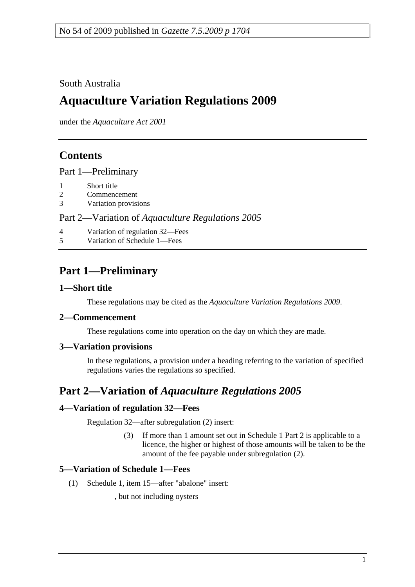### South Australia

# **Aquaculture Variation Regulations 2009**

under the *Aquaculture Act 2001*

# **Contents**

Part 1—Preliminary

- 1 Short title
- 2 Commencement
- 3 Variation provisions

#### Part 2—Variation of *Aquaculture Regulations 2005*

- 4 Variation of regulation 32—Fees
- 5 Variation of Schedule 1—Fees

# **Part 1—Preliminary**

#### **1—Short title**

These regulations may be cited as the *Aquaculture Variation Regulations 2009*.

#### **2—Commencement**

These regulations come into operation on the day on which they are made.

#### **3—Variation provisions**

In these regulations, a provision under a heading referring to the variation of specified regulations varies the regulations so specified.

## **Part 2—Variation of** *Aquaculture Regulations 2005*

### **4—Variation of regulation 32—Fees**

Regulation 32—after subregulation (2) insert:

 (3) If more than 1 amount set out in Schedule 1 Part 2 is applicable to a licence, the higher or highest of those amounts will be taken to be the amount of the fee payable under subregulation (2).

### **5—Variation of Schedule 1—Fees**

(1) Schedule 1, item 15—after "abalone" insert:

, but not including oysters